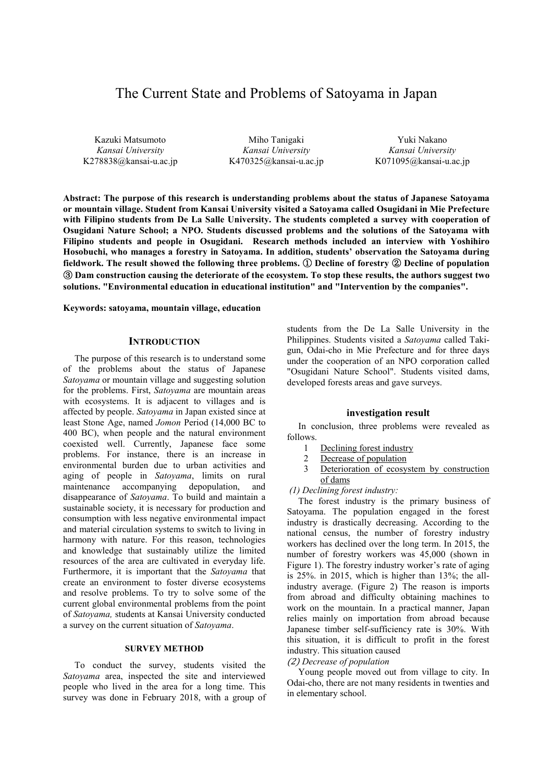# The Current State and Problems of Satoyama in Japan

Kazuki Matsumoto *Kansai University*  K278838@kansai-u.ac.jp

Miho Tanigaki *Kansai University* K470325@kansai-u.ac.jp

Yuki Nakano *Kansai University*  K071095@kansai-u.ac.jp

**Abstract: The purpose of this research is understanding problems about the status of Japanese Satoyama or mountain village. Student from Kansai University visited a Satoyama called Osugidani in Mie Prefecture**  with Filipino students from De La Salle University. The students completed a survey with cooperation of **Osugidani Nature School; a NPO. Students discussed problems and the solutions of the Satoyama with Filipino students and people in Osugidani. Research methods included an interview with Yoshihiro Hosobuchi, who manages a forestry in Satoyama. In addition, students' observation the Satoyama during fieldwork. The result showed the following three problems.** ① **Decline of forestry** ② **Decline of population**  ③ **Dam construction causing the deteriorate of the ecosystem. To stop these results, the authors suggest two solutions. "Environmental education in educational institution" and "Intervention by the companies".** 

**Keywords: satoyama, mountain village, education** 

#### **INTRODUCTION**

The purpose of this research is to understand some of the problems about the status of Japanese *Satoyama* or mountain village and suggesting solution for the problems. First, *Satoyama* are mountain areas with ecosystems. It is adjacent to villages and is affected by people. *Satoyama* in Japan existed since at least Stone Age, named *Jomon* Period (14,000 BC to 400 BC), when people and the natural environment coexisted well. Currently, Japanese face some problems. For instance, there is an increase in environmental burden due to urban activities and aging of people in *Satoyama*, limits on rural maintenance accompanying depopulation, and disappearance of *Satoyama*. To build and maintain a sustainable society, it is necessary for production and consumption with less negative environmental impact and material circulation systems to switch to living in harmony with nature. For this reason, technologies and knowledge that sustainably utilize the limited resources of the area are cultivated in everyday life. Furthermore, it is important that the *Satoyama* that create an environment to foster diverse ecosystems and resolve problems. To try to solve some of the current global environmental problems from the point of *Satoyama,* students at Kansai University conducted a survey on the current situation of *Satoyama*.

# **SURVEY METHOD**

To conduct the survey, students visited the *Satoyama* area, inspected the site and interviewed people who lived in the area for a long time. This survey was done in February 2018, with a group of

students from the De La Salle University in the Philippines. Students visited a *Satoyama* called Takigun, Odai-cho in Mie Prefecture and for three days under the cooperation of an NPO corporation called "Osugidani Nature School". Students visited dams, developed forests areas and gave surveys.

# **investigation result**

In conclusion, three problems were revealed as follows.

- 1 Declining forest industry
- 2 Decrease of population
- 3 Deterioration of ecosystem by construction of dams
- *(1) Declining forest industry:*

The forest industry is the primary business of Satoyama. The population engaged in the forest industry is drastically decreasing. According to the national census, the number of forestry industry workers has declined over the long term. In 2015, the number of forestry workers was 45,000 (shown in Figure 1). The forestry industry worker's rate of aging is 25%. in 2015, which is higher than 13%; the allindustry average. (Figure 2) The reason is imports from abroad and difficulty obtaining machines to work on the mountain. In a practical manner, Japan relies mainly on importation from abroad because Japanese timber self-sufficiency rate is 30%. With this situation, it is difficult to profit in the forest industry. This situation caused

#### (2) *Decrease of population*

Young people moved out from village to city. In Odai-cho, there are not many residents in twenties and in elementary school.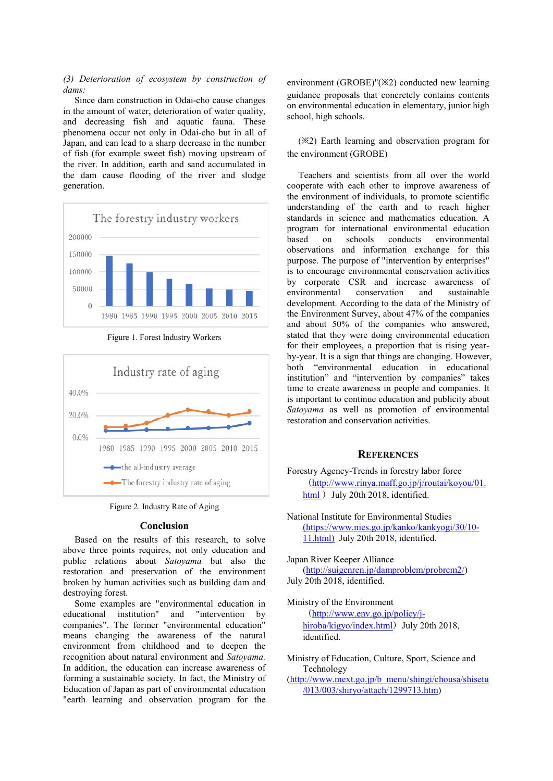# *(3) Deterioration of ecosystem by construction of dams:*

Since dam construction in Odai-cho cause changes in the amount of water, deterioration of water quality, and decreasing fish and aquatic fauna. These phenomena occur not only in Odai-cho but in all of Japan, and can lead to a sharp decrease in the number of fish (for example sweet fish) moving upstream of the river. In addition, earth and sand accumulated in the dam cause flooding of the river and sludge generation.



Figure 1. Forest Industry Workers



Figure 2. Industry Rate of Aging

#### **Conclusion**

Based on the results of this research, to solve above three points requires, not only education and public relations about *Satoyama* but also the restoration and preservation of the environment broken by human activities such as building dam and destroying forest.

Some examples are "environmental education in educational institution" and "intervention by companies". The former "environmental education" means changing the awareness of the natural environment from childhood and to deepen the recognition about natural environment and *Satoyama.*  In addition, the education can increase awareness of forming a sustainable society. In fact, the Ministry of Education of Japan as part of environmental education "earth learning and observation program for the

environment (GROBE)"(※2) conducted new learning guidance proposals that concretely contains contents on environmental education in elementary, junior high school, high schools.

(※2) Earth learning and observation program for the environment (GROBE)

Teachers and scientists from all over the world cooperate with each other to improve awareness of the environment of individuals, to promote scientific understanding of the earth and to reach higher standards in science and mathematics education. A program for international environmental education based on schools conducts environmental observations and information exchange for this purpose. The purpose of "intervention by enterprises" is to encourage environmental conservation activities by corporate CSR and increase awareness of environmental conservation and sustainable development. According to the data of the Ministry of the Environment Survey, about 47% of the companies and about 50% of the companies who answered, stated that they were doing environmental education for their employees, a proportion that is rising yearby-year. It is a sign that things are changing. However, both "environmental education in educational institution" and "intervention by companies" takes time to create awareness in people and companies. It is important to continue education and publicity about *Satoyama* as well as promotion of environmental restoration and conservation activities.

# **REFERENCES**

- Forestry Agency-Trends in forestry labor force (http://www.rinya.maff.go.jp/j/routai/koyou/01. html ) July 20th 2018, identified.
- National Institute for Environmental Studies (https://www.nies.go.jp/kanko/kankyogi/30/10- 11.html) July 20th 2018, identified.

Japan River Keeper Alliance (http://suigenren.jp/damproblem/probrem2/) July 20th 2018, identified.

Ministry of the Environment (http://www.env.go.jp/policy/jhiroba/kigyo/index.html) July 20th 2018, identified.

Ministry of Education, Culture, Sport, Science and Technology

(http://www.mext.go.jp/b\_menu/shingi/chousa/shisetu /013/003/shiryo/attach/1299713.htm)